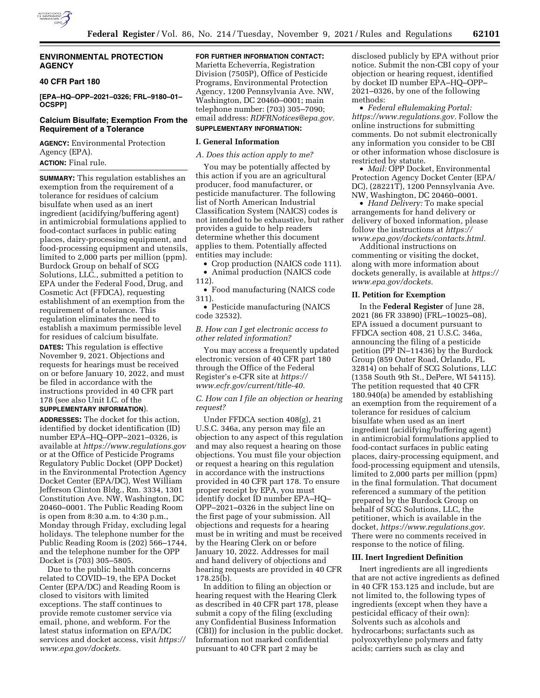

# **ENVIRONMENTAL PROTECTION AGENCY**

# **40 CFR Part 180**

**[EPA–HQ–OPP–2021–0326; FRL–9180–01– OCSPP]** 

# **Calcium Bisulfate; Exemption From the Requirement of a Tolerance**

**AGENCY:** Environmental Protection Agency (EPA).

**ACTION:** Final rule.

**SUMMARY:** This regulation establishes an exemption from the requirement of a tolerance for residues of calcium bisulfate when used as an inert ingredient (acidifying/buffering agent) in antimicrobial formulations applied to food-contact surfaces in public eating places, dairy-processing equipment, and food-processing equipment and utensils, limited to 2,000 parts per million (ppm). Burdock Group on behalf of SCG Solutions, LLC., submitted a petition to EPA under the Federal Food, Drug, and Cosmetic Act (FFDCA), requesting establishment of an exemption from the requirement of a tolerance. This regulation eliminates the need to establish a maximum permissible level for residues of calcium bisulfate.

**DATES:** This regulation is effective November 9, 2021. Objections and requests for hearings must be received on or before January 10, 2022, and must be filed in accordance with the instructions provided in 40 CFR part 178 (see also Unit I.C. of the

# **SUPPLEMENTARY INFORMATION**).

**ADDRESSES:** The docket for this action, identified by docket identification (ID) number EPA–HQ–OPP–2021–0326, is available at *<https://www.regulations.gov>* or at the Office of Pesticide Programs Regulatory Public Docket (OPP Docket) in the Environmental Protection Agency Docket Center (EPA/DC), West William Jefferson Clinton Bldg., Rm. 3334, 1301 Constitution Ave. NW, Washington, DC 20460–0001. The Public Reading Room is open from 8:30 a.m. to 4:30 p.m., Monday through Friday, excluding legal holidays. The telephone number for the Public Reading Room is (202) 566–1744, and the telephone number for the OPP Docket is (703) 305–5805.

Due to the public health concerns related to COVID–19, the EPA Docket Center (EPA/DC) and Reading Room is closed to visitors with limited exceptions. The staff continues to provide remote customer service via email, phone, and webform. For the latest status information on EPA/DC services and docket access, visit *[https://](https://www.epa.gov/dockets) [www.epa.gov/dockets.](https://www.epa.gov/dockets)* 

# **FOR FURTHER INFORMATION CONTACT:**

Marietta Echeverria, Registration Division (7505P), Office of Pesticide Programs, Environmental Protection Agency, 1200 Pennsylvania Ave. NW, Washington, DC 20460–0001; main telephone number: (703) 305–7090; email address: *[RDFRNotices@epa.gov.](mailto:RDFRNotices@epa.gov)* 

#### **SUPPLEMENTARY INFORMATION:**

#### **I. General Information**

*A. Does this action apply to me?* 

You may be potentially affected by this action if you are an agricultural producer, food manufacturer, or pesticide manufacturer. The following list of North American Industrial Classification System (NAICS) codes is not intended to be exhaustive, but rather provides a guide to help readers determine whether this document applies to them. Potentially affected entities may include:

• Crop production (NAICS code 111). • Animal production (NAICS code

112).

• Food manufacturing (NAICS code 311).

• Pesticide manufacturing (NAICS code 32532).

## *B. How can I get electronic access to other related information?*

You may access a frequently updated electronic version of 40 CFR part 180 through the Office of the Federal Register's e-CFR site at *[https://](https://www.ecfr.gov/current/title-40) [www.ecfr.gov/current/title-40.](https://www.ecfr.gov/current/title-40)* 

*C. How can I file an objection or hearing request?* 

Under FFDCA section 408(g), 21 U.S.C. 346a, any person may file an objection to any aspect of this regulation and may also request a hearing on those objections. You must file your objection or request a hearing on this regulation in accordance with the instructions provided in 40 CFR part 178. To ensure proper receipt by EPA, you must identify docket ID number EPA–HQ– OPP–2021–0326 in the subject line on the first page of your submission. All objections and requests for a hearing must be in writing and must be received by the Hearing Clerk on or before January 10, 2022. Addresses for mail and hand delivery of objections and hearing requests are provided in 40 CFR 178.25(b).

In addition to filing an objection or hearing request with the Hearing Clerk as described in 40 CFR part 178, please submit a copy of the filing (excluding any Confidential Business Information (CBI)) for inclusion in the public docket. Information not marked confidential pursuant to 40 CFR part 2 may be

disclosed publicly by EPA without prior notice. Submit the non-CBI copy of your objection or hearing request, identified by docket ID number EPA–HQ–OPP– 2021–0326, by one of the following methods:

• *Federal eRulemaking Portal: [https://www.regulations.gov.](https://www.regulations.gov)* Follow the online instructions for submitting comments. Do not submit electronically any information you consider to be CBI or other information whose disclosure is restricted by statute.

• *Mail:* OPP Docket, Environmental Protection Agency Docket Center (EPA/ DC), (28221T), 1200 Pennsylvania Ave. NW, Washington, DC 20460–0001.

• *Hand Delivery:* To make special arrangements for hand delivery or delivery of boxed information, please follow the instructions at *[https://](https://www.epa.gov/dockets/contacts.html) [www.epa.gov/dockets/contacts.html.](https://www.epa.gov/dockets/contacts.html)* 

Additional instructions on commenting or visiting the docket, along with more information about dockets generally, is available at *[https://](https://www.epa.gov/dockets) [www.epa.gov/dockets.](https://www.epa.gov/dockets)* 

### **II. Petition for Exemption**

In the **Federal Register** of June 28, 2021 (86 FR 33890) (FRL–10025–08), EPA issued a document pursuant to FFDCA section 408, 21 U.S.C. 346a, announcing the filing of a pesticide petition (PP IN–11436) by the Burdock Group (859 Outer Road, Orlando, FL 32814) on behalf of SCG Solutions, LLC (1358 South 9th St., DePere, WI 54115). The petition requested that 40 CFR 180.940(a) be amended by establishing an exemption from the requirement of a tolerance for residues of calcium bisulfate when used as an inert ingredient (acidifying/buffering agent) in antimicrobial formulations applied to food-contact surfaces in public eating places, dairy-processing equipment, and food-processing equipment and utensils, limited to 2,000 parts per million (ppm) in the final formulation. That document referenced a summary of the petition prepared by the Burdock Group on behalf of SCG Solutions, LLC, the petitioner, which is available in the docket, *[https://www.regulations.gov.](https://www.regulations.gov)*  There were no comments received in response to the notice of filing.

#### **III. Inert Ingredient Definition**

Inert ingredients are all ingredients that are not active ingredients as defined in 40 CFR 153.125 and include, but are not limited to, the following types of ingredients (except when they have a pesticidal efficacy of their own): Solvents such as alcohols and hydrocarbons; surfactants such as polyoxyethylene polymers and fatty acids; carriers such as clay and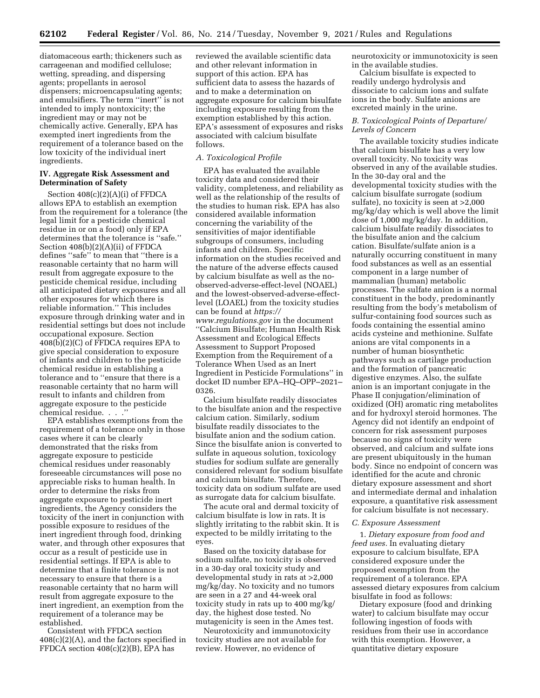diatomaceous earth; thickeners such as carrageenan and modified cellulose; wetting, spreading, and dispersing agents; propellants in aerosol dispensers; microencapsulating agents; and emulsifiers. The term ''inert'' is not intended to imply nontoxicity; the ingredient may or may not be chemically active. Generally, EPA has exempted inert ingredients from the requirement of a tolerance based on the low toxicity of the individual inert ingredients.

# **IV. Aggregate Risk Assessment and Determination of Safety**

Section 408(c)(2)(A)(i) of FFDCA allows EPA to establish an exemption from the requirement for a tolerance (the legal limit for a pesticide chemical residue in or on a food) only if EPA determines that the tolerance is ''safe.'' Section 408(b)(2)(A)(ii) of FFDCA defines ''safe'' to mean that ''there is a reasonable certainty that no harm will result from aggregate exposure to the pesticide chemical residue, including all anticipated dietary exposures and all other exposures for which there is reliable information.'' This includes exposure through drinking water and in residential settings but does not include occupational exposure. Section  $408(\overline{\text{b}})(2)(\text{C})$  of FFDCA requires EPA to give special consideration to exposure of infants and children to the pesticide chemical residue in establishing a tolerance and to ''ensure that there is a reasonable certainty that no harm will result to infants and children from aggregate exposure to the pesticide chemical residue. . . .''

EPA establishes exemptions from the requirement of a tolerance only in those cases where it can be clearly demonstrated that the risks from aggregate exposure to pesticide chemical residues under reasonably foreseeable circumstances will pose no appreciable risks to human health. In order to determine the risks from aggregate exposure to pesticide inert ingredients, the Agency considers the toxicity of the inert in conjunction with possible exposure to residues of the inert ingredient through food, drinking water, and through other exposures that occur as a result of pesticide use in residential settings. If EPA is able to determine that a finite tolerance is not necessary to ensure that there is a reasonable certainty that no harm will result from aggregate exposure to the inert ingredient, an exemption from the requirement of a tolerance may be established.

Consistent with FFDCA section  $408(c)(2)(A)$ , and the factors specified in FFDCA section 408(c)(2)(B), EPA has

reviewed the available scientific data and other relevant information in support of this action. EPA has sufficient data to assess the hazards of and to make a determination on aggregate exposure for calcium bisulfate including exposure resulting from the exemption established by this action. EPA's assessment of exposures and risks associated with calcium bisulfate follows.

#### *A. Toxicological Profile*

EPA has evaluated the available toxicity data and considered their validity, completeness, and reliability as well as the relationship of the results of the studies to human risk. EPA has also considered available information concerning the variability of the sensitivities of major identifiable subgroups of consumers, including infants and children. Specific information on the studies received and the nature of the adverse effects caused by calcium bisulfate as well as the noobserved-adverse-effect-level (NOAEL) and the lowest-observed-adverse-effectlevel (LOAEL) from the toxicity studies can be found at *[https://](https://www.regulations.gov) [www.regulations.gov](https://www.regulations.gov)* in the document ''Calcium Bisulfate; Human Health Risk Assessment and Ecological Effects Assessment to Support Proposed Exemption from the Requirement of a Tolerance When Used as an Inert Ingredient in Pesticide Formulations'' in docket ID number EPA–HQ–OPP–2021– 0326.

Calcium bisulfate readily dissociates to the bisulfate anion and the respective calcium cation. Similarly, sodium bisulfate readily dissociates to the bisulfate anion and the sodium cation. Since the bisulfate anion is converted to sulfate in aqueous solution, toxicology studies for sodium sulfate are generally considered relevant for sodium bisulfate and calcium bisulfate. Therefore, toxicity data on sodium sulfate are used as surrogate data for calcium bisulfate.

The acute oral and dermal toxicity of calcium bisulfate is low in rats. It is slightly irritating to the rabbit skin. It is expected to be mildly irritating to the eyes.

Based on the toxicity database for sodium sulfate, no toxicity is observed in a 30-day oral toxicity study and developmental study in rats at >2,000 mg/kg/day. No toxicity and no tumors are seen in a 27 and 44-week oral toxicity study in rats up to 400 mg/kg/ day, the highest dose tested. No mutagenicity is seen in the Ames test.

Neurotoxicity and immunotoxicity toxicity studies are not available for review. However, no evidence of

neurotoxicity or immunotoxicity is seen in the available studies.

Calcium bisulfate is expected to readily undergo hydrolysis and dissociate to calcium ions and sulfate ions in the body. Sulfate anions are excreted mainly in the urine.

## *B. Toxicological Points of Departure/ Levels of Concern*

The available toxicity studies indicate that calcium bisulfate has a very low overall toxicity. No toxicity was observed in any of the available studies. In the 30-day oral and the developmental toxicity studies with the calcium bisulfate surrogate (sodium sulfate), no toxicity is seen at >2,000 mg/kg/day which is well above the limit dose of 1,000 mg/kg/day. In addition, calcium bisulfate readily dissociates to the bisulfate anion and the calcium cation. Bisulfate/sulfate anion is a naturally occurring constituent in many food substances as well as an essential component in a large number of mammalian (human) metabolic processes. The sulfate anion is a normal constituent in the body, predominantly resulting from the body's metabolism of sulfur-containing food sources such as foods containing the essential amino acids cysteine and methionine. Sulfate anions are vital components in a number of human biosynthetic pathways such as cartilage production and the formation of pancreatic digestive enzymes. Also, the sulfate anion is an important conjugate in the Phase II conjugation/elimination of oxidized (OH) aromatic ring metabolites and for hydroxyl steroid hormones. The Agency did not identify an endpoint of concern for risk assessment purposes because no signs of toxicity were observed, and calcium and sulfate ions are present ubiquitously in the human body. Since no endpoint of concern was identified for the acute and chronic dietary exposure assessment and short and intermediate dermal and inhalation exposure, a quantitative risk assessment for calcium bisulfate is not necessary.

### *C. Exposure Assessment*

1. *Dietary exposure from food and feed uses.* In evaluating dietary exposure to calcium bisulfate, EPA considered exposure under the proposed exemption from the requirement of a tolerance. EPA assessed dietary exposures from calcium bisulfate in food as follows:

Dietary exposure (food and drinking water) to calcium bisulfate may occur following ingestion of foods with residues from their use in accordance with this exemption. However, a quantitative dietary exposure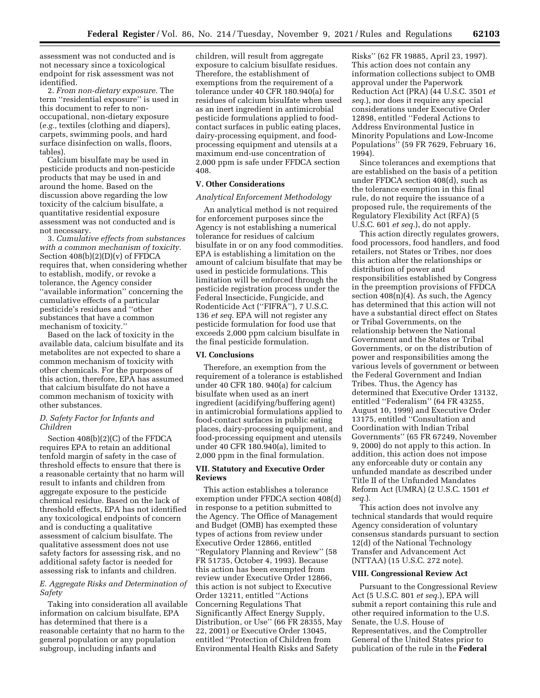assessment was not conducted and is not necessary since a toxicological endpoint for risk assessment was not identified.

2. *From non-dietary exposure.* The term ''residential exposure'' is used in this document to refer to nonoccupational, non-dietary exposure (*e.g.,* textiles (clothing and diapers), carpets, swimming pools, and hard surface disinfection on walls, floors, tables).

Calcium bisulfate may be used in pesticide products and non-pesticide products that may be used in and around the home. Based on the discussion above regarding the low toxicity of the calcium bisulfate, a quantitative residential exposure assessment was not conducted and is not necessary.

3. *Cumulative effects from substances with a common mechanism of toxicity.*  Section 408(b)(2)(D)(v) of FFDCA requires that, when considering whether to establish, modify, or revoke a tolerance, the Agency consider ''available information'' concerning the cumulative effects of a particular pesticide's residues and ''other substances that have a common mechanism of toxicity.''

Based on the lack of toxicity in the available data, calcium bisulfate and its metabolites are not expected to share a common mechanism of toxicity with other chemicals. For the purposes of this action, therefore, EPA has assumed that calcium bisulfate do not have a common mechanism of toxicity with other substances.

## *D. Safety Factor for Infants and Children*

Section 408(b)(2)(C) of the FFDCA requires EPA to retain an additional tenfold margin of safety in the case of threshold effects to ensure that there is a reasonable certainty that no harm will result to infants and children from aggregate exposure to the pesticide chemical residue. Based on the lack of threshold effects, EPA has not identified any toxicological endpoints of concern and is conducting a qualitative assessment of calcium bisulfate. The qualitative assessment does not use safety factors for assessing risk, and no additional safety factor is needed for assessing risk to infants and children.

## *E. Aggregate Risks and Determination of Safety*

Taking into consideration all available information on calcium bisulfate, EPA has determined that there is a reasonable certainty that no harm to the general population or any population subgroup, including infants and

children, will result from aggregate exposure to calcium bisulfate residues. Therefore, the establishment of exemptions from the requirement of a tolerance under 40 CFR 180.940(a) for residues of calcium bisulfate when used as an inert ingredient in antimicrobial pesticide formulations applied to foodcontact surfaces in public eating places, dairy-processing equipment, and foodprocessing equipment and utensils at a maximum end-use concentration of 2,000 ppm is safe under FFDCA section 408.

## **V. Other Considerations**

#### *Analytical Enforcement Methodology*

An analytical method is not required for enforcement purposes since the Agency is not establishing a numerical tolerance for residues of calcium bisulfate in or on any food commodities. EPA is establishing a limitation on the amount of calcium bisulfate that may be used in pesticide formulations. This limitation will be enforced through the pesticide registration process under the Federal Insecticide, Fungicide, and Rodenticide Act (''FIFRA''), 7 U.S.C. 136 *et seq.* EPA will not register any pesticide formulation for food use that exceeds 2,000 ppm calcium bisulfate in the final pesticide formulation.

#### **VI. Conclusions**

Therefore, an exemption from the requirement of a tolerance is established under 40 CFR 180. 940(a) for calcium bisulfate when used as an inert ingredient (acidifying/buffering agent) in antimicrobial formulations applied to food-contact surfaces in public eating places, dairy-processing equipment, and food-processing equipment and utensils under 40 CFR 180.940(a), limited to 2,000 ppm in the final formulation.

# **VII. Statutory and Executive Order Reviews**

This action establishes a tolerance exemption under FFDCA section 408(d) in response to a petition submitted to the Agency. The Office of Management and Budget (OMB) has exempted these types of actions from review under Executive Order 12866, entitled ''Regulatory Planning and Review'' (58 FR 51735, October 4, 1993). Because this action has been exempted from review under Executive Order 12866, this action is not subject to Executive Order 13211, entitled ''Actions Concerning Regulations That Significantly Affect Energy Supply, Distribution, or Use'' (66 FR 28355, May 22, 2001) or Executive Order 13045, entitled ''Protection of Children from Environmental Health Risks and Safety

Risks'' (62 FR 19885, April 23, 1997). This action does not contain any information collections subject to OMB approval under the Paperwork Reduction Act (PRA) (44 U.S.C. 3501 *et seq.*), nor does it require any special considerations under Executive Order 12898, entitled ''Federal Actions to Address Environmental Justice in Minority Populations and Low-Income Populations'' (59 FR 7629, February 16, 1994).

Since tolerances and exemptions that are established on the basis of a petition under FFDCA section 408(d), such as the tolerance exemption in this final rule, do not require the issuance of a proposed rule, the requirements of the Regulatory Flexibility Act (RFA) (5 U.S.C. 601 *et seq.*), do not apply.

This action directly regulates growers, food processors, food handlers, and food retailers, not States or Tribes, nor does this action alter the relationships or distribution of power and responsibilities established by Congress in the preemption provisions of FFDCA section  $408(n)(4)$ . As such, the Agency has determined that this action will not have a substantial direct effect on States or Tribal Governments, on the relationship between the National Government and the States or Tribal Governments, or on the distribution of power and responsibilities among the various levels of government or between the Federal Government and Indian Tribes. Thus, the Agency has determined that Executive Order 13132, entitled ''Federalism'' (64 FR 43255, August 10, 1999) and Executive Order 13175, entitled ''Consultation and Coordination with Indian Tribal Governments'' (65 FR 67249, November 9, 2000) do not apply to this action. In addition, this action does not impose any enforceable duty or contain any unfunded mandate as described under Title II of the Unfunded Mandates Reform Act (UMRA) (2 U.S.C. 1501 *et seq.*).

This action does not involve any technical standards that would require Agency consideration of voluntary consensus standards pursuant to section 12(d) of the National Technology Transfer and Advancement Act (NTTAA) (15 U.S.C. 272 note).

#### **VIII. Congressional Review Act**

Pursuant to the Congressional Review Act (5 U.S.C. 801 *et seq.*), EPA will submit a report containing this rule and other required information to the U.S. Senate, the U.S. House of Representatives, and the Comptroller General of the United States prior to publication of the rule in the **Federal**